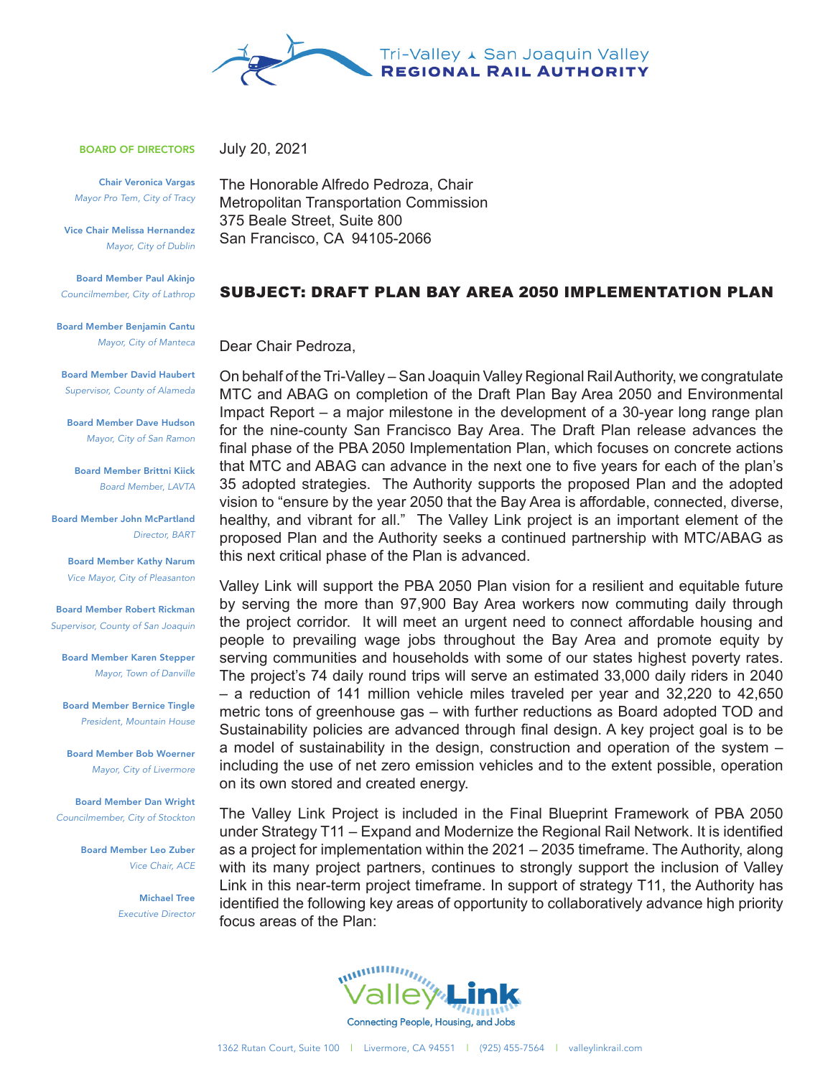

BOARD OF DIRECTORS

Chair Veronica Vargas *Mayor Pro Tem, City of Tracy*

Vice Chair Melissa Hernandez *Mayor, City of Dublin*

Board Member Paul Akinjo *Councilmember, City of Lathrop*

Board Member Benjamin Cantu *Mayor, City of Manteca*

Board Member David Haubert *Supervisor, County of Alameda*

Board Member Dave Hudson *Mayor, City of San Ramon*

Board Member Brittni Kiick *Board Memb*er, *LAVTA*

Board Member John McPartland *Director, BART*

> Board Member Kathy Narum *Vice Mayor, City of Pleasanton*

Board Member Robert Rickman *Supervisor, County of San Joaquin*

Board Member Karen Stepper *Mayor, Town of Danville*

Board Member Bernice Tingle *President, Mountain House*

Board Member Bob Woerner *Mayor, City of Livermore*

Board Member Dan Wright *Councilmember, City of Stockton*

> Board Member Leo Zuber *Vice Chair, ACE*

> > Michael Tree *Executive Director*

The Honorable Alfredo Pedroza, Chair Metropolitan Transportation Commission 375 Beale Street, Suite 800 San Francisco, CA 94105-2066

## SUBJECT: DRAFT PLAN BAY AREA 2050 IMPLEMENTATION PLAN

Dear Chair Pedroza,

July 20, 2021

On behalf of the Tri-Valley – San Joaquin Valley Regional Rail Authority, we congratulate MTC and ABAG on completion of the Draft Plan Bay Area 2050 and Environmental Impact Report – a major milestone in the development of a 30-year long range plan for the nine-county San Francisco Bay Area. The Draft Plan release advances the final phase of the PBA 2050 Implementation Plan, which focuses on concrete actions that MTC and ABAG can advance in the next one to five years for each of the plan's 35 adopted strategies. The Authority supports the proposed Plan and the adopted vision to "ensure by the year 2050 that the Bay Area is affordable, connected, diverse, healthy, and vibrant for all." The Valley Link project is an important element of the proposed Plan and the Authority seeks a continued partnership with MTC/ABAG as this next critical phase of the Plan is advanced.

Valley Link will support the PBA 2050 Plan vision for a resilient and equitable future by serving the more than 97,900 Bay Area workers now commuting daily through the project corridor. It will meet an urgent need to connect affordable housing and people to prevailing wage jobs throughout the Bay Area and promote equity by serving communities and households with some of our states highest poverty rates. The project's 74 daily round trips will serve an estimated 33,000 daily riders in 2040 – a reduction of 141 million vehicle miles traveled per year and 32,220 to 42,650 metric tons of greenhouse gas – with further reductions as Board adopted TOD and Sustainability policies are advanced through final design. A key project goal is to be a model of sustainability in the design, construction and operation of the system – including the use of net zero emission vehicles and to the extent possible, operation on its own stored and created energy.

The Valley Link Project is included in the Final Blueprint Framework of PBA 2050 under Strategy T11 – Expand and Modernize the Regional Rail Network. It is identified as a project for implementation within the 2021 – 2035 timeframe. The Authority, along with its many project partners, continues to strongly support the inclusion of Valley Link in this near-term project timeframe. In support of strategy T11, the Authority has identified the following key areas of opportunity to collaboratively advance high priority focus areas of the Plan: